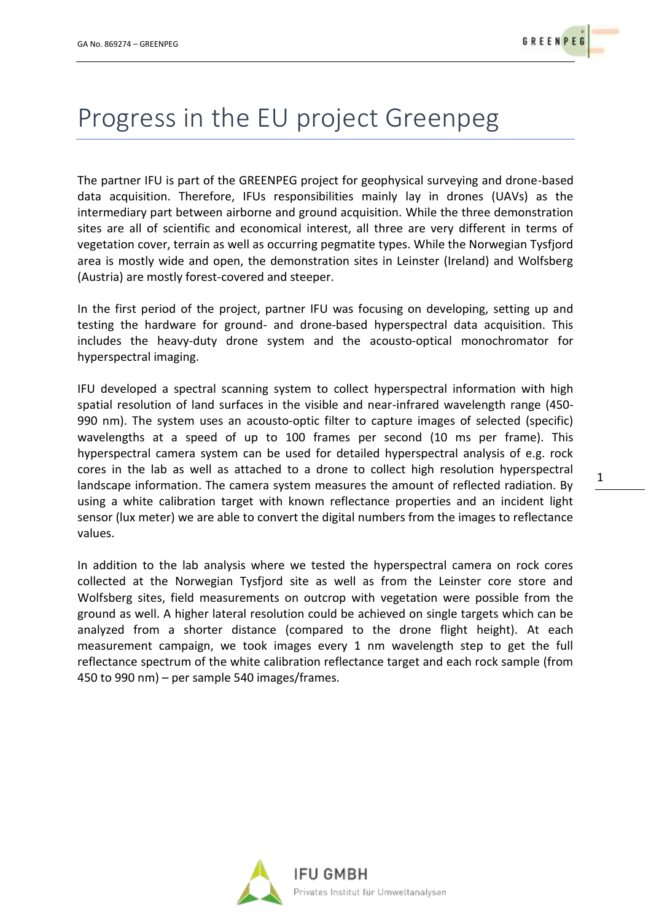## Progress in the EU project Greenpeg

The partner IFU is part of the GREENPEG project for geophysical surveying and drone-based data acquisition. Therefore, IFUs responsibilities mainly lay in drones (UAVs) as the intermediary part between airborne and ground acquisition. While the three demonstration sites are all of scientific and economical interest, all three are very different in terms of vegetation cover, terrain as well as occurring pegmatite types. While the Norwegian Tysfjord area is mostly wide and open, the demonstration sites in Leinster (Ireland) and Wolfsberg (Austria) are mostly forest-covered and steeper.

In the first period of the project, partner IFU was focusing on developing, setting up and testing the hardware for ground- and drone-based hyperspectral data acquisition. This includes the heavy-duty drone system and the acousto-optical monochromator for hyperspectral imaging.

IFU developed a spectral scanning system to collect hyperspectral information with high spatial resolution of land surfaces in the visible and near-infrared wavelength range (450- 990 nm). The system uses an acousto-optic filter to capture images of selected (specific) wavelengths at a speed of up to 100 frames per second (10 ms per frame). This hyperspectral camera system can be used for detailed hyperspectral analysis of e.g. rock cores in the lab as well as attached to a drone to collect high resolution hyperspectral landscape information. The camera system measures the amount of reflected radiation. By using a white calibration target with known reflectance properties and an incident light sensor (lux meter) we are able to convert the digital numbers from the images to reflectance values.

In addition to the lab analysis where we tested the hyperspectral camera on rock cores collected at the Norwegian Tysfjord site as well as from the Leinster core store and Wolfsberg sites, field measurements on outcrop with vegetation were possible from the ground as well. A higher lateral resolution could be achieved on single targets which can be analyzed from a shorter distance (compared to the drone flight height). At each measurement campaign, we took images every 1 nm wavelength step to get the full reflectance spectrum of the white calibration reflectance target and each rock sample (from 450 to 990 nm) – per sample 540 images/frames.



1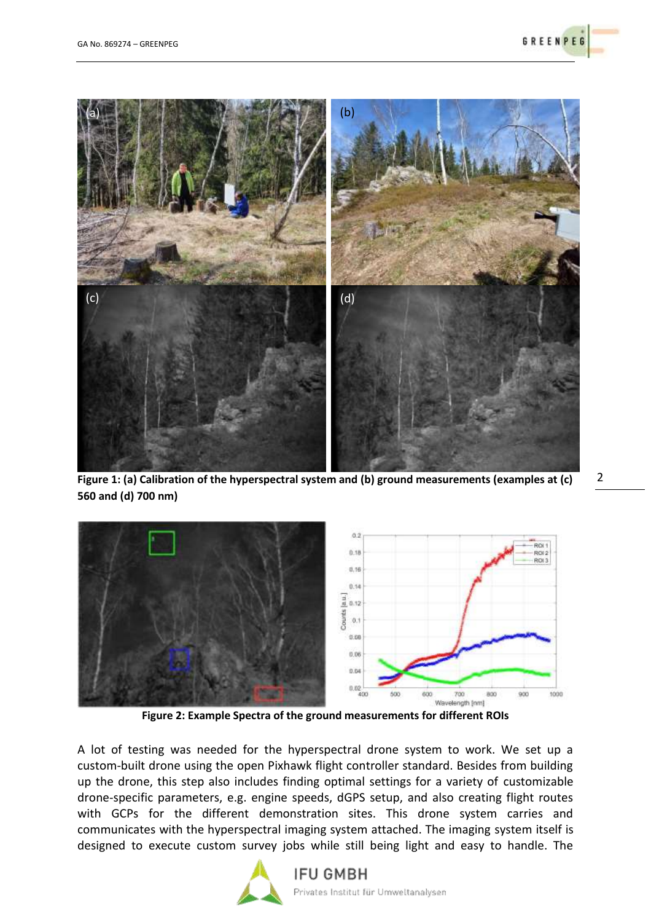

**Figure 1: (a) Calibration of the hyperspectral system and (b) ground measurements (examples at (c)** 2 **560 and (d) 700 nm)**





**Figure 2: Example Spectra of the ground measurements for different ROIs**

A lot of testing was needed for the hyperspectral drone system to work. We set up a custom-built drone using the open Pixhawk flight controller standard. Besides from building up the drone, this step also includes finding optimal settings for a variety of customizable drone-specific parameters, e.g. engine speeds, dGPS setup, and also creating flight routes with GCPs for the different demonstration sites. This drone system carries and communicates with the hyperspectral imaging system attached. The imaging system itself is designed to execute custom survey jobs while still being light and easy to handle. The



## **IFU GMBH** Privates Institut für Umweltanalysen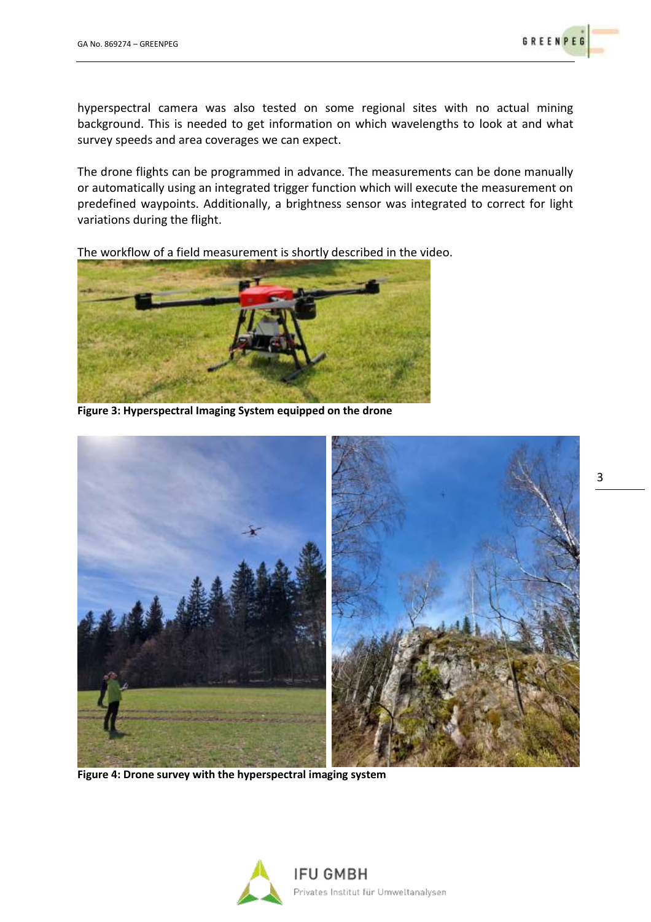hyperspectral camera was also tested on some regional sites with no actual mining background. This is needed to get information on which wavelengths to look at and what survey speeds and area coverages we can expect.

The drone flights can be programmed in advance. The measurements can be done manually or automatically using an integrated trigger function which will execute the measurement on predefined waypoints. Additionally, a brightness sensor was integrated to correct for light variations during the flight.

The workflow of a field measurement is shortly described in the video.



**Figure 3: Hyperspectral Imaging System equipped on the drone**



**Figure 4: Drone survey with the hyperspectral imaging system**



3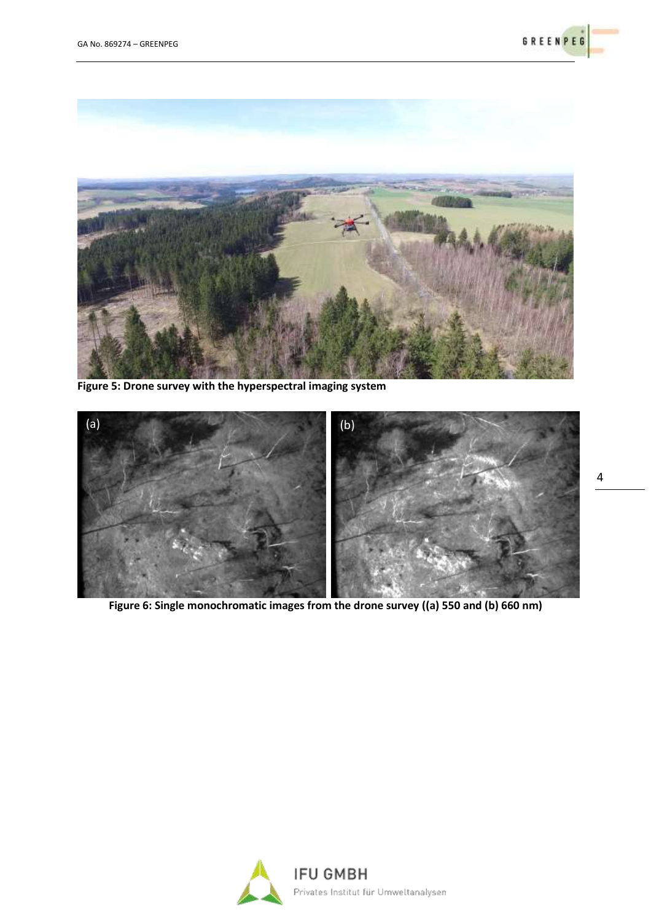



**Figure 5: Drone survey with the hyperspectral imaging system**



**Figure 6: Single monochromatic images from the drone survey ((a) 550 and (b) 660 nm)**

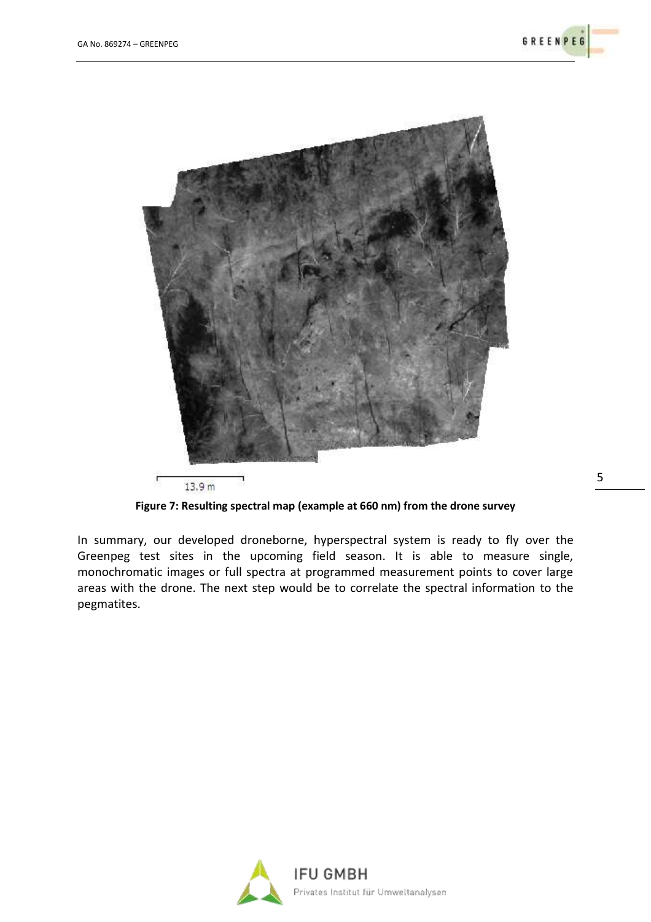

**Figure 7: Resulting spectral map (example at 660 nm) from the drone survey**

In summary, our developed droneborne, hyperspectral system is ready to fly over the Greenpeg test sites in the upcoming field season. It is able to measure single, monochromatic images or full spectra at programmed measurement points to cover large areas with the drone. The next step would be to correlate the spectral information to the pegmatites.



5